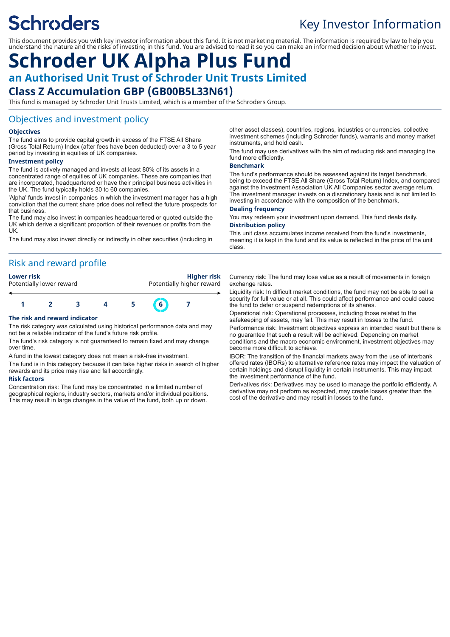# **Schroders**

# Key Investor Information

This document provides you with key investor information about this fund. It is not marketing material. The information is required by law to help you understand the nature and the risks of investing in this fund. You are advised to read it so you can make an informed decision about whether to invest.

# **Schroder UK Alpha Plus Fund an Authorised Unit Trust of Schroder Unit Trusts Limited Class Z Accumulation GBP (GB00B5L33N61)**

This fund is managed by Schroder Unit Trusts Limited, which is a member of the Schroders Group.

### Objectives and investment policy

#### **Objectives**

The fund aims to provide capital growth in excess of the FTSE All Share (Gross Total Return) Index (after fees have been deducted) over a 3 to 5 year period by investing in equities of UK companies.

#### **Investment policy**

The fund is actively managed and invests at least 80% of its assets in a concentrated range of equities of UK companies. These are companies that are incorporated, headquartered or have their principal business activities in the UK. The fund typically holds 30 to 60 companies.

'Alpha' funds invest in companies in which the investment manager has a high conviction that the current share price does not reflect the future prospects for that business.

The fund may also invest in companies headquartered or quoted outside the UK which derive a significant proportion of their revenues or profits from the UK.

The fund may also invest directly or indirectly in other securities (including in

## Risk and reward profile

#### **Lower risk Higher risk**

| Potentially lower reward |  | Potentially higher reward |  |             |  |  |
|--------------------------|--|---------------------------|--|-------------|--|--|
|                          |  |                           |  |             |  |  |
|                          |  |                           |  | $6^{\circ}$ |  |  |

#### **The risk and reward indicator**

The risk category was calculated using historical performance data and may not be a reliable indicator of the fund's future risk profile.

The fund's risk category is not guaranteed to remain fixed and may change over time.

A fund in the lowest category does not mean a risk-free investment.

The fund is in this category because it can take higher risks in search of higher rewards and its price may rise and fall accordingly.

#### **Risk factors**

Concentration risk: The fund may be concentrated in a limited number of geographical regions, industry sectors, markets and/or individual positions. This may result in large changes in the value of the fund, both up or down.

other asset classes), countries, regions, industries or currencies, collective investment schemes (including Schroder funds), warrants and money market instruments, and hold cash.

The fund may use derivatives with the aim of reducing risk and managing the fund more efficiently.

#### **Benchmark**

The fund's performance should be assessed against its target benchmark, being to exceed the FTSE All Share (Gross Total Return) Index, and compared against the Investment Association UK All Companies sector average return. The investment manager invests on a discretionary basis and is not limited to investing in accordance with the composition of the benchmark.

#### **Dealing frequency**

You may redeem your investment upon demand. This fund deals daily. **Distribution policy**

This unit class accumulates income received from the fund's investments, meaning it is kept in the fund and its value is reflected in the price of the unit class.

Currency risk: The fund may lose value as a result of movements in foreign exchange rates.

Liquidity risk: In difficult market conditions, the fund may not be able to sell a security for full value or at all. This could affect performance and could cause the fund to defer or suspend redemptions of its shares.

Operational risk: Operational processes, including those related to the safekeeping of assets, may fail. This may result in losses to the fund.

Performance risk: Investment objectives express an intended result but there is no guarantee that such a result will be achieved. Depending on market conditions and the macro economic environment, investment objectives may become more difficult to achieve.

IBOR: The transition of the financial markets away from the use of interbank offered rates (IBORs) to alternative reference rates may impact the valuation of certain holdings and disrupt liquidity in certain instruments. This may impact the investment performance of the fund.

Derivatives risk: Derivatives may be used to manage the portfolio efficiently. A derivative may not perform as expected, may create losses greater than the cost of the derivative and may result in losses to the fund.